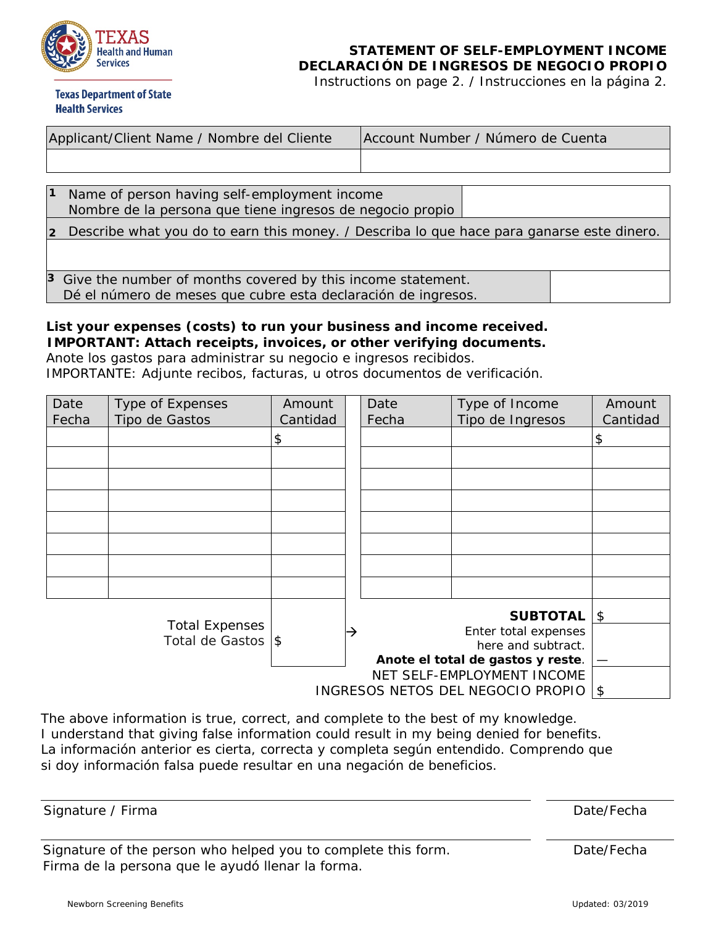

## **STATEMENT OF SELF-EMPLOYMENT INCOME DECLARACIÓN DE INGRESOS DE NEGOCIO PROPIO**

Instructions on page 2. / Instrucciones en la página 2.

**Texas Department of State Health Services** 

| Applicant/Client Name / Nombre del Cliente |                                                                                                                                | Account Number / Número de Cuenta |  |  |
|--------------------------------------------|--------------------------------------------------------------------------------------------------------------------------------|-----------------------------------|--|--|
|                                            |                                                                                                                                |                                   |  |  |
|                                            |                                                                                                                                |                                   |  |  |
| $\vert$ 1                                  | Name of person having self-employment income<br>Nombre de la persona que tiene ingresos de negocio propio                      |                                   |  |  |
| $\overline{2}$                             | Describe what you do to earn this money. / Describa lo que hace para ganarse este dinero.                                      |                                   |  |  |
|                                            |                                                                                                                                |                                   |  |  |
|                                            | 3 Give the number of months covered by this income statement.<br>Dé el número de meses que cubre esta declaración de ingresos. |                                   |  |  |

## **List your expenses (costs) to run your business and income received. IMPORTANT: Attach receipts, invoices, or other verifying documents.**

Anote los gastos para administrar su negocio e ingresos recibidos. IMPORTANTE: Adjunte recibos, facturas, u otros documentos de verificación.

| Date<br>Fecha                              | Type of Expenses<br>Tipo de Gastos | Amount<br>Cantidad         |   | Date<br>Fecha                                           | Type of Income<br>Tipo de Ingresos | Amount<br>Cantidad         |
|--------------------------------------------|------------------------------------|----------------------------|---|---------------------------------------------------------|------------------------------------|----------------------------|
|                                            |                                    | \$                         |   |                                                         |                                    | \$                         |
|                                            |                                    |                            |   |                                                         |                                    |                            |
|                                            |                                    |                            |   |                                                         |                                    |                            |
|                                            |                                    |                            |   |                                                         |                                    |                            |
|                                            |                                    |                            |   |                                                         |                                    |                            |
|                                            |                                    |                            |   |                                                         |                                    |                            |
|                                            |                                    |                            |   |                                                         |                                    |                            |
|                                            |                                    |                            |   |                                                         |                                    |                            |
|                                            |                                    |                            |   |                                                         | <b>SUBTOTAL</b>                    | $\boldsymbol{\mathsf{S}}$  |
| <b>Total Expenses</b><br>Total de Gastos S |                                    |                            | → |                                                         | Enter total expenses               |                            |
|                                            |                                    |                            |   | here and subtract.<br>Anote el total de gastos y reste. |                                    |                            |
|                                            |                                    | NET SELF-EMPLOYMENT INCOME |   |                                                         |                                    |                            |
|                                            |                                    |                            |   |                                                         | INGRESOS NETOS DEL NEGOCIO PROPIO  | $\boldsymbol{\mathsf{\$}}$ |

The above information is true, correct, and complete to the best of my knowledge. I understand that giving false information could result in my being denied for benefits. La información anterior es cierta, correcta y completa según entendido. Comprendo que si doy información falsa puede resultar en una negación de beneficios.

| Signature / Firma                                             | Date/Fecha |
|---------------------------------------------------------------|------------|
|                                                               |            |
|                                                               |            |
| Signature of the person who helped you to complete this form. | Date/Fecha |
| Firma de la persona que le ayudó llenar la forma.             |            |